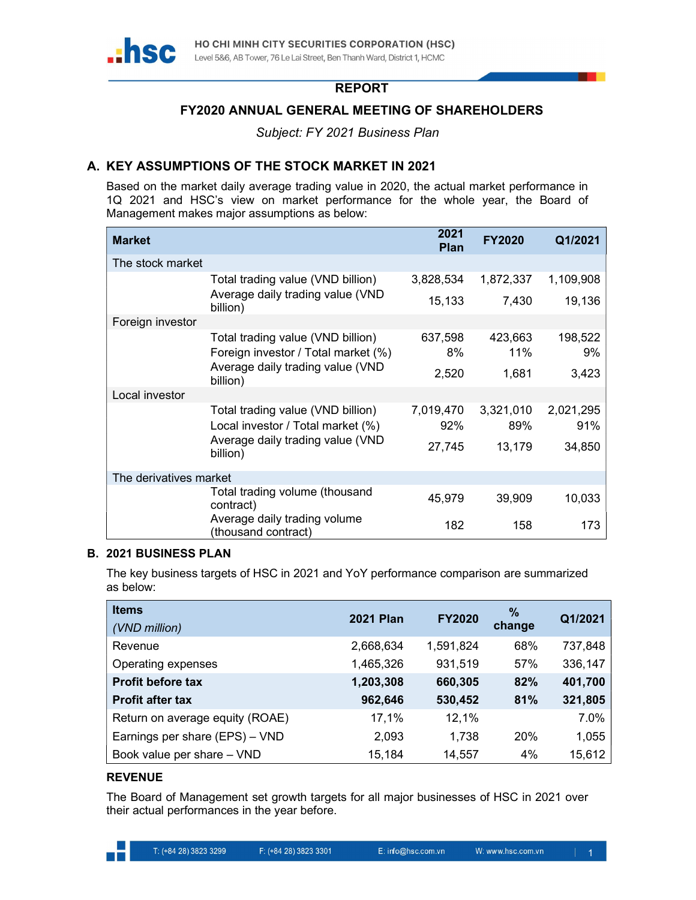

## REPORT

# FY2020 ANNUAL GENERAL MEETING OF SHAREHOLDERS

Subject: FY 2021 Business Plan

# A. KEY ASSUMPTIONS OF THE STOCK MARKET IN 2021

Based on the market daily average trading value in 2020, the actual market performance in 1Q 2021 and HSC's view on market performance for the whole year, the Board of Management makes major assumptions as below:

| <b>Market</b>          |                                                     | 2021<br><b>Plan</b> | <b>FY2020</b> | Q1/2021   |
|------------------------|-----------------------------------------------------|---------------------|---------------|-----------|
| The stock market       |                                                     |                     |               |           |
|                        | Total trading value (VND billion)                   | 3,828,534           | 1,872,337     | 1,109,908 |
|                        | Average daily trading value (VND<br>billion)        | 15,133              | 7,430         | 19,136    |
| Foreign investor       |                                                     |                     |               |           |
|                        | Total trading value (VND billion)                   | 637,598             | 423,663       | 198,522   |
|                        | Foreign investor / Total market (%)                 | 8%                  | 11%           | 9%        |
|                        | Average daily trading value (VND<br>billion)        | 2,520               | 1,681         | 3,423     |
| Local investor         |                                                     |                     |               |           |
|                        | Total trading value (VND billion)                   | 7,019,470           | 3,321,010     | 2,021,295 |
|                        | Local investor / Total market (%)                   | 92%                 | 89%           | 91%       |
|                        | Average daily trading value (VND<br>billion)        | 27,745              | 13,179        | 34,850    |
| The derivatives market |                                                     |                     |               |           |
|                        | Total trading volume (thousand                      |                     |               |           |
|                        | contract)                                           | 45,979              | 39,909        | 10,033    |
|                        | Average daily trading volume<br>(thousand contract) | 182                 | 158           | 173       |

### B. 2021 BUSINESS PLAN

The key business targets of HSC in 2021 and YoY performance comparison are summarized as below:

| <b>Items</b>                    | <b>2021 Plan</b> | <b>FY2020</b> | $\%$   | Q1/2021 |
|---------------------------------|------------------|---------------|--------|---------|
| (VND million)                   |                  |               | change |         |
| Revenue                         | 2,668,634        | 1,591,824     | 68%    | 737,848 |
| Operating expenses              | 1,465,326        | 931,519       | 57%    | 336,147 |
| <b>Profit before tax</b>        | 1,203,308        | 660,305       | 82%    | 401,700 |
| <b>Profit after tax</b>         | 962,646          | 530,452       | 81%    | 321,805 |
| Return on average equity (ROAE) | 17,1%            | 12,1%         |        | 7.0%    |
| Earnings per share (EPS) - VND  | 2,093            | 1,738         | 20%    | 1,055   |
| Book value per share - VND      | 15,184           | 14,557        | 4%     | 15,612  |

### REVENUE

The Board of Management set growth targets for all major businesses of HSC in 2021 over their actual performances in the year before.

. .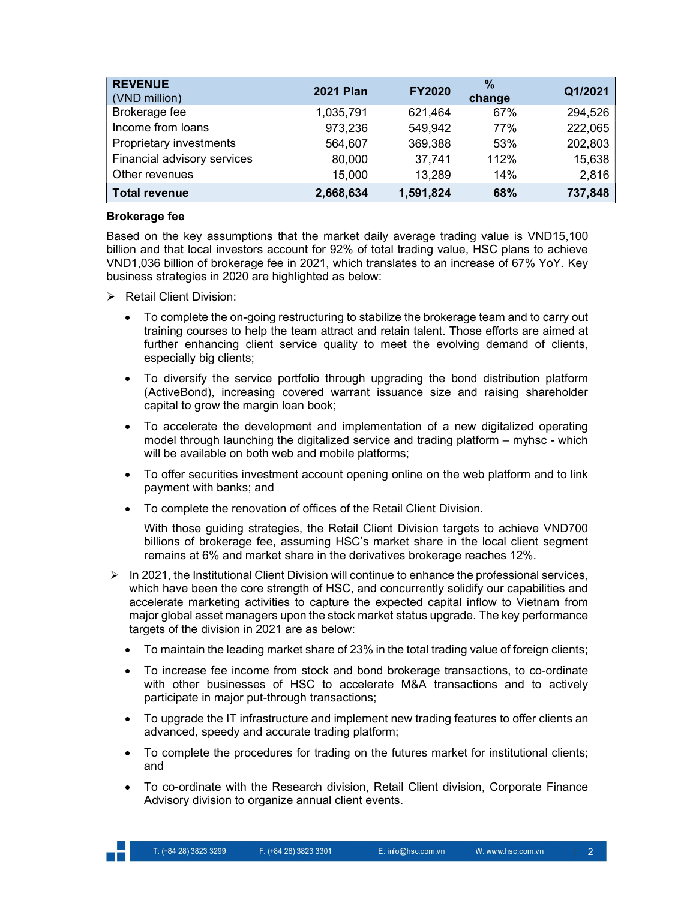| <b>REVENUE</b><br>(VND million) | <b>2021 Plan</b> | <b>FY2020</b> | $\frac{0}{0}$<br>change | Q1/2021 |
|---------------------------------|------------------|---------------|-------------------------|---------|
| Brokerage fee                   | 1,035,791        | 621,464       | 67%                     | 294,526 |
| Income from loans               | 973,236          | 549,942       | 77%                     | 222,065 |
| Proprietary investments         | 564,607          | 369,388       | 53%                     | 202,803 |
| Financial advisory services     | 80,000           | 37,741        | 112%                    | 15,638  |
| Other revenues                  | 15,000           | 13,289        | 14%                     | 2,816   |
| <b>Total revenue</b>            | 2,668,634        | 1,591,824     | 68%                     | 737,848 |

### Brokerage fee

Based on the key assumptions that the market daily average trading value is VND15,100 billion and that local investors account for 92% of total trading value, HSC plans to achieve VND1,036 billion of brokerage fee in 2021, which translates to an increase of 67% YoY. Key business strategies in 2020 are highlighted as below:

- $\triangleright$  Retail Client Division:
	- To complete the on-going restructuring to stabilize the brokerage team and to carry out training courses to help the team attract and retain talent. Those efforts are aimed at further enhancing client service quality to meet the evolving demand of clients, especially big clients;
	- To diversify the service portfolio through upgrading the bond distribution platform (ActiveBond), increasing covered warrant issuance size and raising shareholder capital to grow the margin loan book;
	- To accelerate the development and implementation of a new digitalized operating model through launching the digitalized service and trading platform – myhsc - which will be available on both web and mobile platforms;
	- To offer securities investment account opening online on the web platform and to link payment with banks; and
	- To complete the renovation of offices of the Retail Client Division.

With those guiding strategies, the Retail Client Division targets to achieve VND700 billions of brokerage fee, assuming HSC's market share in the local client segment remains at 6% and market share in the derivatives brokerage reaches 12%.

- $\triangleright$  In 2021, the Institutional Client Division will continue to enhance the professional services, which have been the core strength of HSC, and concurrently solidify our capabilities and accelerate marketing activities to capture the expected capital inflow to Vietnam from major global asset managers upon the stock market status upgrade. The key performance targets of the division in 2021 are as below:
	- To maintain the leading market share of 23% in the total trading value of foreign clients;
	- To increase fee income from stock and bond brokerage transactions, to co-ordinate with other businesses of HSC to accelerate M&A transactions and to actively participate in major put-through transactions;
	- To upgrade the IT infrastructure and implement new trading features to offer clients an advanced, speedy and accurate trading platform;
	- To complete the procedures for trading on the futures market for institutional clients; and
	- To co-ordinate with the Research division, Retail Client division, Corporate Finance Advisory division to organize annual client events.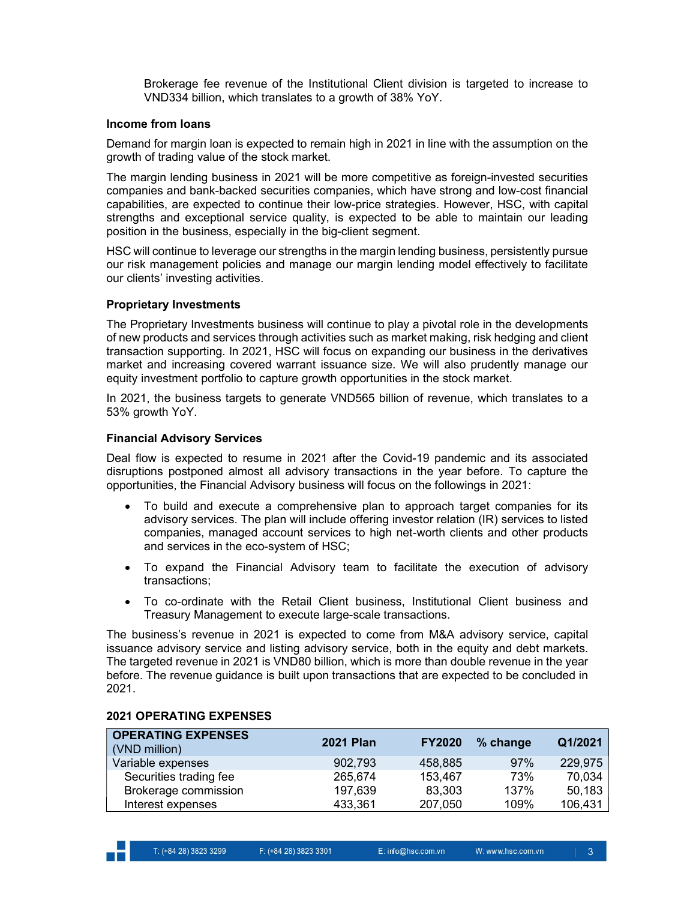Brokerage fee revenue of the Institutional Client division is targeted to increase to VND334 billion, which translates to a growth of 38% YoY.

#### Income from loans

Demand for margin loan is expected to remain high in 2021 in line with the assumption on the growth of trading value of the stock market.

The margin lending business in 2021 will be more competitive as foreign-invested securities companies and bank-backed securities companies, which have strong and low-cost financial capabilities, are expected to continue their low-price strategies. However, HSC, with capital strengths and exceptional service quality, is expected to be able to maintain our leading position in the business, especially in the big-client segment.

HSC will continue to leverage our strengths in the margin lending business, persistently pursue our risk management policies and manage our margin lending model effectively to facilitate our clients' investing activities.

#### Proprietary Investments

The Proprietary Investments business will continue to play a pivotal role in the developments of new products and services through activities such as market making, risk hedging and client transaction supporting. In 2021, HSC will focus on expanding our business in the derivatives market and increasing covered warrant issuance size. We will also prudently manage our equity investment portfolio to capture growth opportunities in the stock market.

In 2021, the business targets to generate VND565 billion of revenue, which translates to a 53% growth YoY.

### Financial Advisory Services

Deal flow is expected to resume in 2021 after the Covid-19 pandemic and its associated disruptions postponed almost all advisory transactions in the year before. To capture the opportunities, the Financial Advisory business will focus on the followings in 2021:

- To build and execute a comprehensive plan to approach target companies for its advisory services. The plan will include offering investor relation (IR) services to listed companies, managed account services to high net-worth clients and other products and services in the eco-system of HSC;
- To expand the Financial Advisory team to facilitate the execution of advisory transactions;
- To co-ordinate with the Retail Client business, Institutional Client business and Treasury Management to execute large-scale transactions.

The business's revenue in 2021 is expected to come from M&A advisory service, capital issuance advisory service and listing advisory service, both in the equity and debt markets. The targeted revenue in 2021 is VND80 billion, which is more than double revenue in the year before. The revenue guidance is built upon transactions that are expected to be concluded in 2021.

| <b>OPERATING EXPENSES</b><br>(VND million) | <b>2021 Plan</b> | <b>FY2020</b> | % change | Q1/2021 |
|--------------------------------------------|------------------|---------------|----------|---------|
| Variable expenses                          | 902,793          | 458,885       | 97%      | 229,975 |
| Securities trading fee                     | 265,674          | 153,467       | 73%      | 70,034  |
| Brokerage commission                       | 197,639          | 83,303        | 137%     | 50,183  |
| Interest expenses                          | 433,361          | 207,050       | 109%     | 106,431 |

#### 2021 OPERATING EXPENSES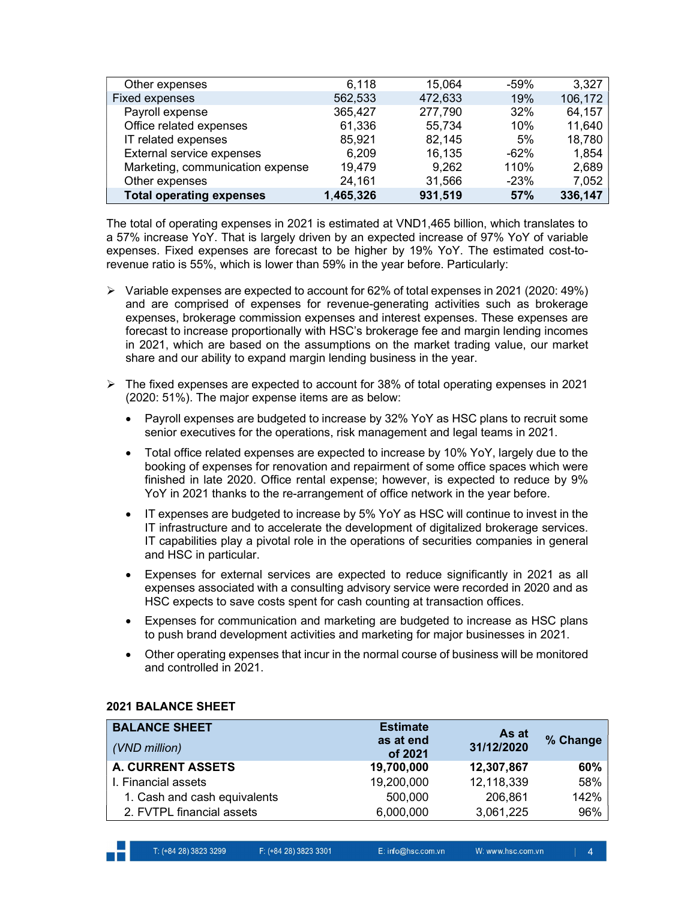| Other expenses                   | 6,118     | 15,064  | $-59%$  | 3,327   |
|----------------------------------|-----------|---------|---------|---------|
| <b>Fixed expenses</b>            | 562,533   | 472,633 | 19%     | 106,172 |
| Payroll expense                  | 365,427   | 277,790 | 32%     | 64,157  |
| Office related expenses          | 61,336    | 55,734  | 10%     | 11,640  |
| IT related expenses              | 85,921    | 82,145  | 5%      | 18,780  |
| External service expenses        | 6,209     | 16,135  | $-62\%$ | 1,854   |
| Marketing, communication expense | 19,479    | 9,262   | 110%    | 2,689   |
| Other expenses                   | 24,161    | 31,566  | $-23%$  | 7,052   |
| <b>Total operating expenses</b>  | 1,465,326 | 931,519 | 57%     | 336,147 |

The total of operating expenses in 2021 is estimated at VND1,465 billion, which translates to a 57% increase YoY. That is largely driven by an expected increase of 97% YoY of variable expenses. Fixed expenses are forecast to be higher by 19% YoY. The estimated cost-torevenue ratio is 55%, which is lower than 59% in the year before. Particularly:

- $\triangleright$  Variable expenses are expected to account for 62% of total expenses in 2021 (2020: 49%) and are comprised of expenses for revenue-generating activities such as brokerage expenses, brokerage commission expenses and interest expenses. These expenses are forecast to increase proportionally with HSC's brokerage fee and margin lending incomes in 2021, which are based on the assumptions on the market trading value, our market share and our ability to expand margin lending business in the year.
- $\triangleright$  The fixed expenses are expected to account for 38% of total operating expenses in 2021 (2020: 51%). The major expense items are as below:
	- Payroll expenses are budgeted to increase by 32% YoY as HSC plans to recruit some senior executives for the operations, risk management and legal teams in 2021.
	- Total office related expenses are expected to increase by 10% YoY, largely due to the booking of expenses for renovation and repairment of some office spaces which were finished in late 2020. Office rental expense; however, is expected to reduce by 9% YoY in 2021 thanks to the re-arrangement of office network in the year before.
	- IT expenses are budgeted to increase by 5% YoY as HSC will continue to invest in the IT infrastructure and to accelerate the development of digitalized brokerage services. IT capabilities play a pivotal role in the operations of securities companies in general and HSC in particular.
	- Expenses for external services are expected to reduce significantly in 2021 as all expenses associated with a consulting advisory service were recorded in 2020 and as HSC expects to save costs spent for cash counting at transaction offices.
	- Expenses for communication and marketing are budgeted to increase as HSC plans to push brand development activities and marketing for major businesses in 2021.
	- Other operating expenses that incur in the normal course of business will be monitored and controlled in 2021.

| <b>BALANCE SHEET</b><br>(VND million) | <b>Estimate</b><br>as at end<br>of 2021 | As at<br>31/12/2020 | % Change |
|---------------------------------------|-----------------------------------------|---------------------|----------|
| <b>A. CURRENT ASSETS</b>              | 19,700,000                              | 12,307,867          | 60%      |
| I. Financial assets                   | 19,200,000                              | 12,118,339          | 58%      |
| 1. Cash and cash equivalents          | 500,000                                 | 206,861             | 142%     |
| 2. FVTPL financial assets             | 6,000,000                               | 3,061,225           | 96%      |

## 2021 BALANCE SHEET